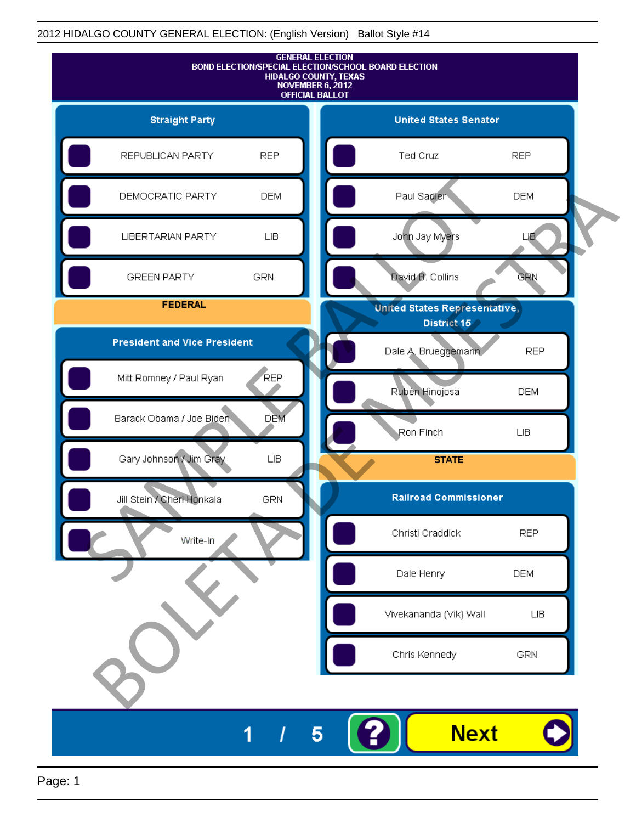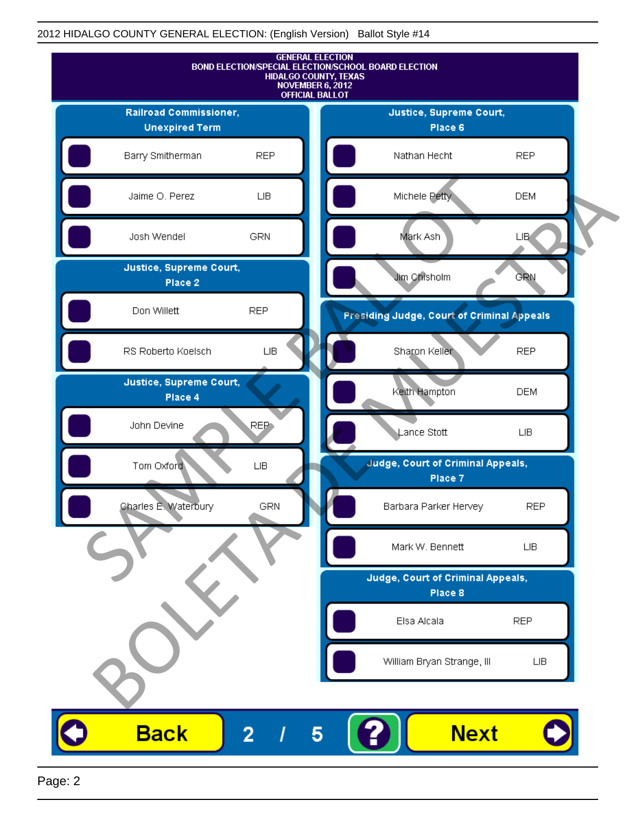

Page: 2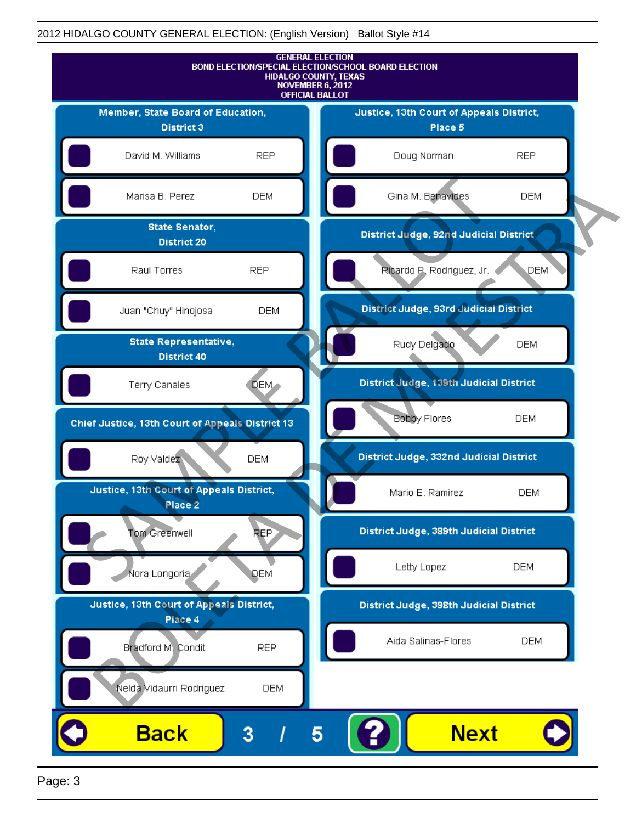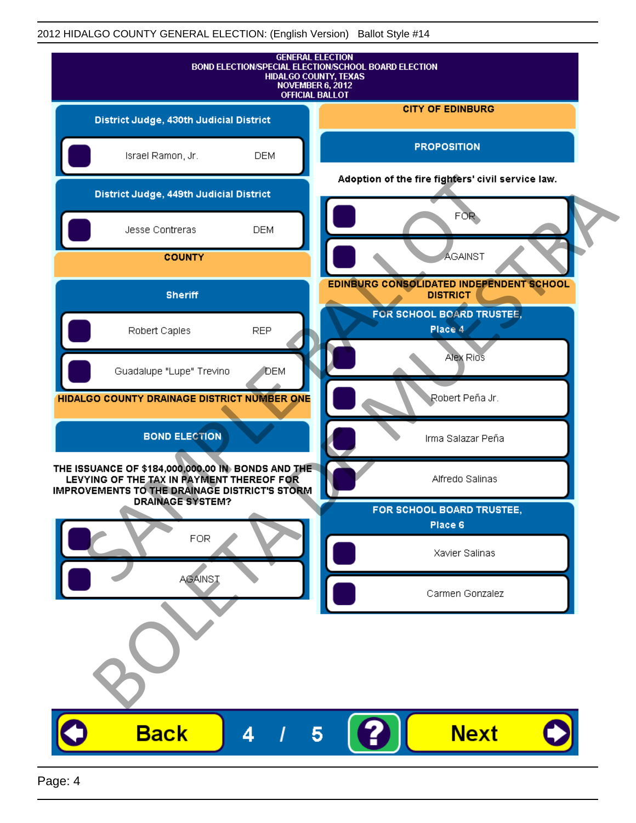|                                                                                                                                                 |            | <b>GENERAL ELECTION</b><br>BOND ELECTION/SPECIAL ELECTION/SCHOOL BOARD ELECTION<br><b>HIDALGO COUNTY, TEXAS</b><br>NOVEMBER 6, 2012<br><b>OFFICIAL BALLOT</b> |
|-------------------------------------------------------------------------------------------------------------------------------------------------|------------|---------------------------------------------------------------------------------------------------------------------------------------------------------------|
| District Judge, 430th Judicial District                                                                                                         |            | <b>CITY OF EDINBURG</b>                                                                                                                                       |
| Israel Ramon, Jr.                                                                                                                               | <b>DEM</b> | <b>PROPOSITION</b>                                                                                                                                            |
| District Judge, 449th Judicial District                                                                                                         |            | Adoption of the fire fighters' civil service law.                                                                                                             |
| Jesse Contreras                                                                                                                                 | <b>DEM</b> | FOR                                                                                                                                                           |
| <b>COUNTY</b>                                                                                                                                   |            | <b>AGAINST</b>                                                                                                                                                |
| <b>Sheriff</b>                                                                                                                                  |            | EDINBURG CONSOLIDATED INDEPENDENT SCHOOL<br><b>DISTRICT</b>                                                                                                   |
| Robert Caples                                                                                                                                   | <b>REP</b> | FOR SCHOOL BOARD TRUSTEE,<br>Place 4                                                                                                                          |
| Guadalupe "Lupe" Trevino                                                                                                                        | DEM        | Alex Rios                                                                                                                                                     |
| HIDALGO COUNTY DRAINAGE DISTRICT NUMBER ONE                                                                                                     |            | Robert Peña Jr.                                                                                                                                               |
| <b>BOND ELECTION</b>                                                                                                                            |            | Irma Salazar Peña                                                                                                                                             |
| THE ISSUANCE OF \$184,000,000.00 IN BONDS AND THE<br>LEVYING OF THE TAX IN PAYMENT THEREOF FOR<br>IMPROVEMENTS TO THE DRAINAGE DISTRICT'S STORM |            | Alfredo Salinas                                                                                                                                               |
| <b>DRAINAGE SYSTEM?</b>                                                                                                                         |            | FOR SCHOOL BOARD TRUSTEE,<br>Place 6                                                                                                                          |
| <b>FOR</b>                                                                                                                                      |            | Xavier Salinas                                                                                                                                                |
| <b>AGAINST</b>                                                                                                                                  |            | Carmen Gonzalez                                                                                                                                               |
|                                                                                                                                                 |            |                                                                                                                                                               |
| <b>Back</b>                                                                                                                                     | 4          | <b>Next</b><br>5                                                                                                                                              |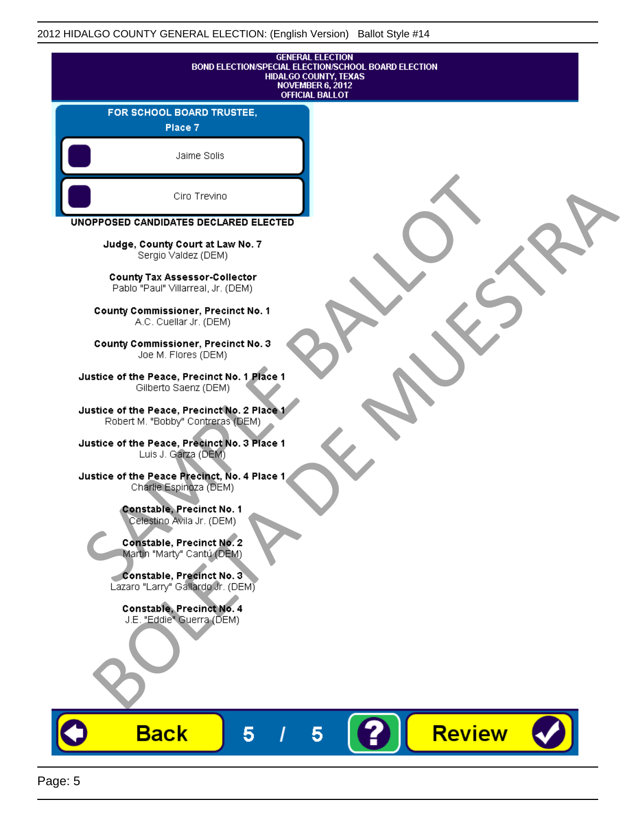| <b>GENERAL ELECTION</b><br>BOND ELECTION/SPECIAL ELECTION/SCHOOL BOARD ELECTION<br>HIDALGO COUNTY, TEXAS<br><b>NOVEMBER 6, 2012</b><br><b>OFFICIAL BALLOT</b> |
|---------------------------------------------------------------------------------------------------------------------------------------------------------------|
| FOR SCHOOL BOARD TRUSTEE,<br>Place 7                                                                                                                          |
| Jaime Solis                                                                                                                                                   |
| Ciro Trevino                                                                                                                                                  |
| UNOPPOSED CANDIDATES DECLARED ELECTED                                                                                                                         |
| Judge, County Court at Law No. 7<br>Sergio Valdez (DEM)                                                                                                       |
| <b>County Tax Assessor-Collector</b><br>Pablo "Paul" Villarreal, Jr. (DEM)                                                                                    |
| <b>County Commissioner, Precinct No. 1</b><br>A.C. Cuellar Jr. (DEM)                                                                                          |
| County Commissioner, Precinct No. 3<br>Joe M. Flores (DEM)                                                                                                    |
| Justice of the Peace, Precinct No. 1 Place 1<br>Gilberto Saenz (DEM)                                                                                          |
| Justice of the Peace, Precinct No. 2 Place 1<br>Robert M. "Bobby" Contreras (DEM)                                                                             |
| Justice of the Peace, Precinct No. 3 Place 1<br>Luis J. Garza (DEM)                                                                                           |
| Justice of the Peace Precinct, No. 4 Place 1<br>Charlie Espinoza (DEM)                                                                                        |
| -Constable, Precinct No. 1<br>Celestino Avila Jr. (DEM)                                                                                                       |
| <b>Constable, Precinct No. 2</b><br>Martin "Marty" Cantú (DEM)                                                                                                |
| Constable, Precinct No. 3<br>Lazaro "Larry" Gallardo Jr. (DEM)                                                                                                |
| Constable, Precinct No. 4<br>J.E. "Eddie" Guerra (DEM)                                                                                                        |
|                                                                                                                                                               |
| <b>Review</b><br><b>Back</b>                                                                                                                                  |

ш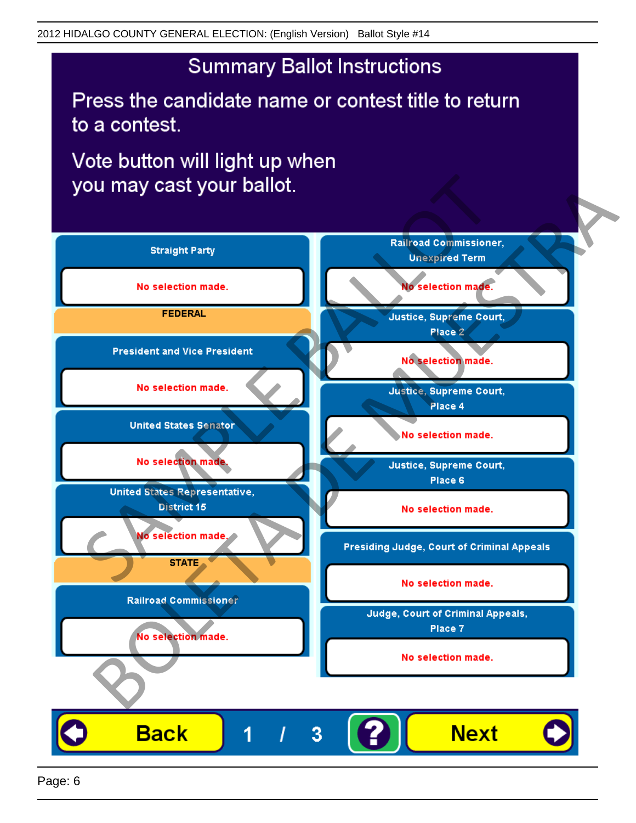# **Summary Ballot Instructions**

Press the candidate name or contest title to return to a contest.

Vote button will light up when

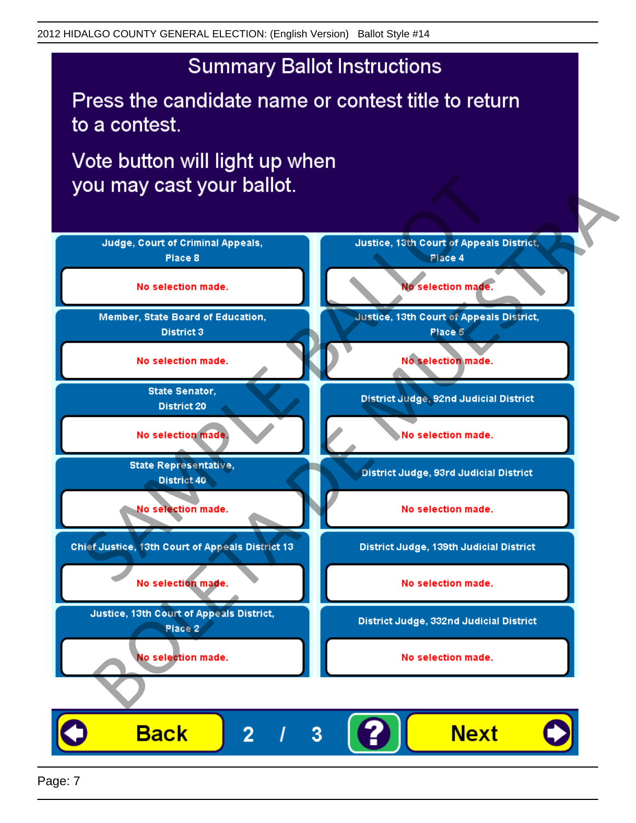# **Summary Ballot Instructions**

Press the candidate name or contest title to return to a contest.

Vote button will light up when



Page: 7